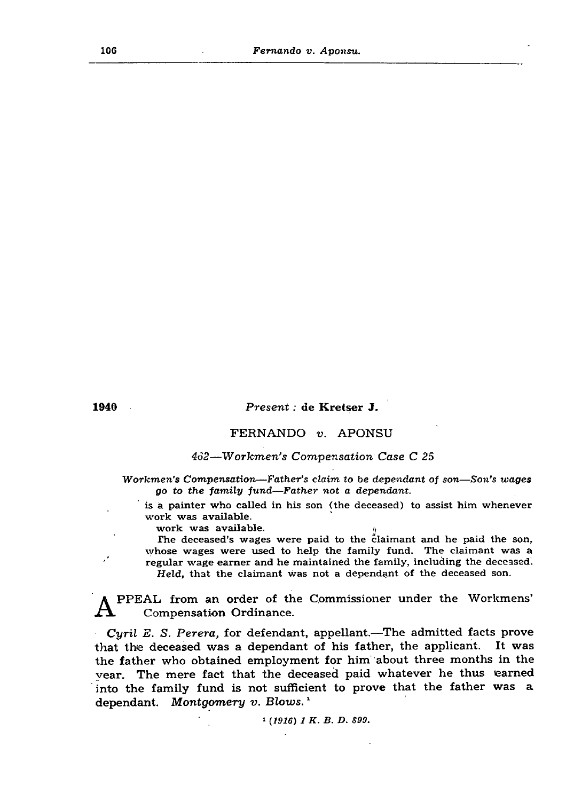106 *F ernando v. A ponsu.*



1940 *P r e s e n t:* de Kretser J.

# FERNANDO *v.* APONSU

# *462*—*W ork m en 's C om pensation Case C 25*

*Workmen's Compensation—Father's claim to be dependant of son—Son's wages* go to the family fund—Father not a dependant.

is a painter who called in his son (the deceased) to assist him whenever work was available.

work was available.

The deceased's wages were paid to the claimant and he paid the son, whose wages were used to help the family fund. The claimant was a  $\mathbf{r}$  regular wage earner and he maintained the family, including the deceased. *H eld ,* that the claimant was not a dependant of the deceased son.

A PPEAL from an order of the Commissioner under the Workmens' Compensation Ordinance.

*Cyril E. S. Perera,* for defendant, appellant.—The admitted facts prove that the deceased was a dependant of his father, the applicant. It was the father who obtained employment for him about three months in the year. The mere fact that the deceased paid whatever he thus earned into the family fund is not sufficient to prove that the father was a dependant. Montgomery v. Blows.<sup>1</sup>

\* *(1916) 1 K . B. D. S99.*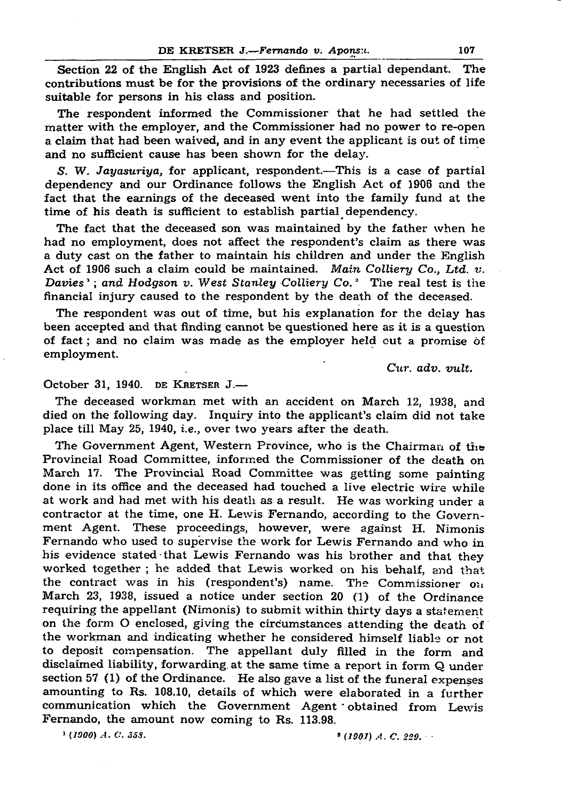#### DE KRETSER J.— Fernando v. Apons:i. 107

Section 22 of the English Act of 1923 defines a partial dependant. The contributions must be for the provisions of the ordinary necessaries of life suitable for persons in his class and position.

The respondent informed the Commissioner that he had settled the matter with the employer, and the Commissioner had no power to re-open a claim that had been waived, and in any event the applicant is out of time and no sufficient cause has been shown for the delay.

S. W. *Jayasuriya*, for applicant, respondent.—This is a case of partial dependency and our Ordinance follows the English Act of 1906 and the fact that the earnings of the deceased went into the family fund at the time of his death is sufficient to establish partial dependency.

The deceased workman met with an accident on March 12, 1938, and died on the following day. Inquiry into the applicant's claim did not take place till May 25, 1940, *i.e.,* over two years after the death.

The Government Agent, Western Province, who is the Chairman of the Provincial Road Committee, informed the Commissioner of the death on March 17. The Provincial Road Committee was getting some painting done in its office and the deceased had touched a live electric wire while at work and had met with his death as a result. He was working under a contractor at the time, one H. Lewis Fernando, according to the Government Agent. These proceedings, however, were against H. Nimonis Fernando who used to supervise the work for Lewis Fernando and who in his evidence stated that Lewis Fernando was his brother and that they worked together; he added that Lewis worked on his behalf, and that the contract was in his (respondent's) name. The Commissioner on March 23, 1938, issued a notice under section 20 (1) of the Ordinance requiring the appellant (Nimonis) to submit within thirty days a statement on the form O enclosed, giving the circumstances attending the death of the workman and indicating whether he considered himself liable or not to deposit compensation. The appellant duly filled in the form and disclaimed liability, forwarding at the same time a report in form Q under section 57 (1) of the Ordinance. He also gave a list of the funeral expenses amounting to Rs. 108.10, details of which were elaborated in a further communication which the Government Agent obtained from Lewis Fernando, the amount now coming to Rs. 113.98.

 $\frac{1}{2}$  (1900) A. C. 358.  $\frac{1}{2}$  (1901) A. C. 229.

The fact that the deceased son was maintained by the father when he had no employment, does not affect the respondent's claim as there was a duty cast on the father to maintain his children and under the English Act of 1906 such a claim could be maintained. *Main Colliery Co., Ltd. v. Davies* '; and Hodgson v. West Stanley Colliery Co.<sup>2</sup> The real test is the financial injury caused to the respondent by the death of the deceased.

The respondent was out of time, but his explanation for the delay has been accepted and that finding cannot be questioned here as it is a question of fact; and no claim was made as the employer held out a promise of employment.

*Cur. adv. vult.*

### October 31, 1940. DE KRETSER  $J$ —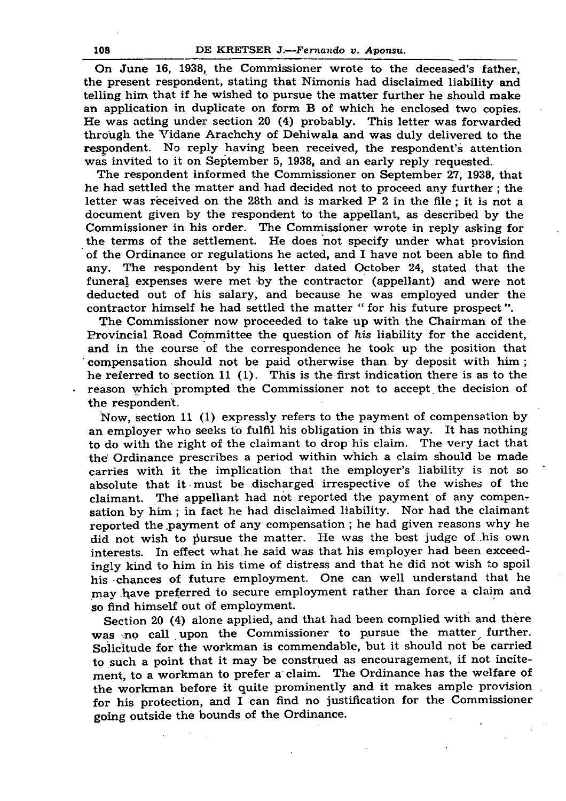### 108 DE KRETSER J*.— Fernando v. Aponsu.*

On June 16, 1938, the Commissioner wrote to the deceased's father, the present respondent, stating that Nimonis had disclaimed liability and telling him that if he wished to pursue the matter further he should make an application in duplicate on form B of which he enclosed two copies. He was acting under section 20 (4) probably. This letter was forwarded through the Vidane Arachchy of Dehiwala and was duly delivered to the respondent. No reply having been received, the respondent's attention was invited to it on September 5, 1938, and an early reply requested.

The respondent informed the Commissioner on September 27, 1938, that he had settled the matter and had decided not to proceed any further ; the letter was received on the 28th and is marked P 2 in the file ; it is not a document given by the respondent to the appellant, as described by the Commissioner in his order. The Commissioner wrote in reply asking for the terms of the settlement. He does not specify under what provision of the Ordinance or regulations he acted, and I have not been able to find any. The respondent by his letter dated October 24, stated that the funeral expenses were met by the contractor (appellant) and were not deducted out of his salary, and because he was employed under the contractor him self he had settled the matter " for his future prospect". The Commissioner now proceeded to take up with the Chairman of the Provincial Road Committee the question of *his* liability for the accident, and in the course of the correspondence he took up the position that ' compensation should not be paid otherwise than by deposit with him ; he referred to section 11 (1). This is the first indication there is as to the reason which prompted the Commissioner not to accept the decision of the respondent.

Now, section 11 (1) expressly refers to the payment of compensation by an employer who seeks to fulfil his obligation in this way. It has nothing to do with the right of the claimant to drop his claim. The very fact that the' Ordinance prescribes a period within which a claim should be made carries with it the implication that the employer's liability is not so absolute that it must be discharged irrespective of the wishes of the claimant. The appellant had not reported the payment of any compensation by him ; in fact he had disclaimed liability. Nor had the claimant reported the payment of any compensation; he had given reasons why he did not wish to pursue the matter. He was the best judge of his own interests. In effect what he said was that his employer had been exceedingly kind to him in his time of distress and that he did not wish to spoil his chances of future employment. One can well understand that he may have preferred to secure employment rather than force a claim and so find him self out of employment.

Section 20 (4) alone applied, and that had been complied with and there was no call upon the Commissioner to pursue the matter further. Solicitude for the workman is commendable, but it should not be carried to such a point that it may be construed as encouragement, if not incitement, to a workman to prefer a claim. The Ordinance has the welfare of the workman before it quite prominently and it makes ample provision for his protection, and I can find no justification for the Commissioner going outside the bounds of the Ordinance.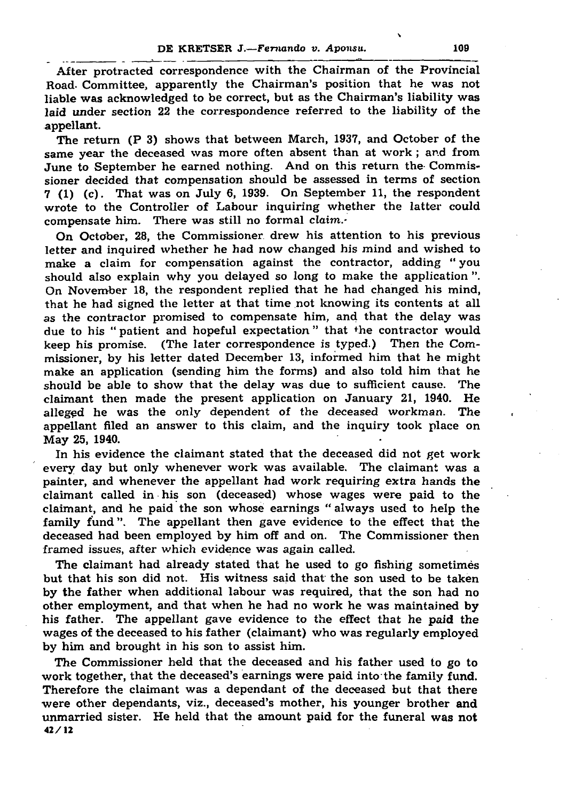#### DE KRETSER J*.— Fernando v. Aponsu.* 109

After protracted correspondence with the Chairman of the Provincial Road. Committee, apparently the Chairman's position that he was not liable was acknowledged to be correct, but as the Chairman's liability was laid under section 22 the correspondence referred to the liability of the appellant.

The return (P 3) shows that between March, 1937, and October of the same year the deceased was more often absent than at work; and from June to September he earned nothing. And on this return the Commissioner decided that compensation should be assessed in terms of section 7 (1) (c). That was on July 6, 1939. On September 11, the respondent wrote to the Controller of Labour inquiring whether the latter could

N

compensate him. There was still no formal claim.-

In his evidence the claimant stated that the deceased did not get work every day but only whenever work was available. The claimant was a painter, and whenever the appellant had work requiring extra hands the claimant called in his son (deceased) w hose wages w ere paid to the claimant, and he paid the son whose earnings " always used to help the family fund". The appellant then gave evidence to the effect that the deceased had been employed by him off and on. The Commissioner then framed issues, after which evidence was again called.

On October, 28, the Commissioner drew his attention to his previous letter and inquired whether he had now changed his mind and wished to make a claim for compensation against the contractor, adding " you should also explain why you delayed so long to make the application". On November 18, the respondent replied that he had changed his mind, that he had signed the letter at that time not knowing its contents at all as the contractor promised to compensate him, and that the delay was due to his "patient and hopeful expectation" that the contractor would keep his promise. (The later correspondence is typed.) Then the Com missioner, by his letter dated December 13, informed him that he might make an application (sending him the forms) and also told him that he should be able to show that the delay was due to sufficient cause. The claimant then made the present application on January 21, 1940. He alleged he was the only dependent of the deceased workman. The appellant filed an answer to this claim, and the inquiry took place on

May 25, 1940.

The claimant had already stated that he used to go fishing sometimes but that his son did not. His witness said that the son used to be taken by the father when additional labour was required, that the son had no other employment, and that w hen he had no w ork he was maintained by his father. The appellant gave evidence to the effect that he paid the wages of the deceased to his father (claimant) who was regularly employed by him and brought in his son to assist him.

The Commissioner held that the deceased and his father used to go to work together, that the deceased's earnings were paid into the family fund. Therefore the claimant was a dependant of the deceased but that there were other dependants, viz., deceased's mother, his younger brother and unmarried sister. He held that the amount paid for the funeral was not 42/12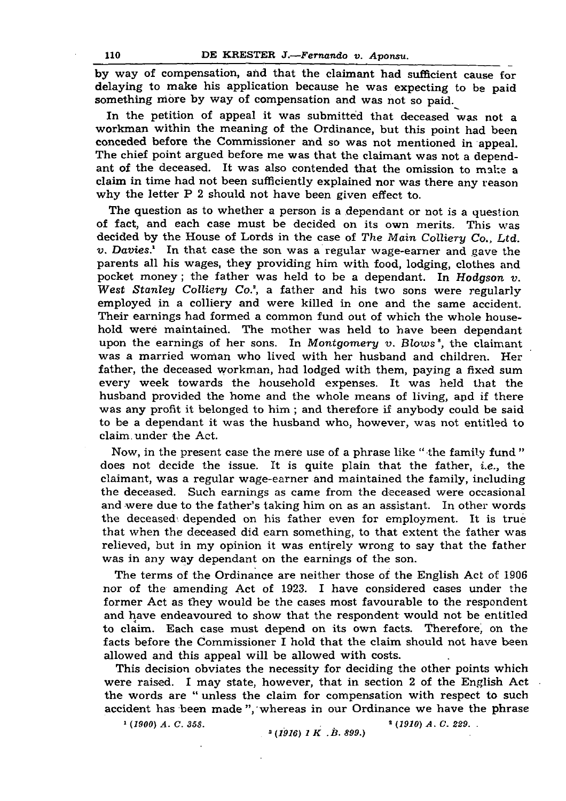## 110 DE KRESTER J*.— Fernando v. Aponsu.*

by way of compensation, and that the claimant had sufficient cause for delaying to make his application because he was expecting to be paid something more by way of compensation and was not so paid.

In the petition of appeal it was submitted that deceased was not a workman within the meaning of the Ordinance, but this point had been conceded before the Commissioner and so was not mentioned in appeal. The chief point argued before me was that the claimant was not a dependant of the deceased. It was also contended that the omission to make a claim in time had not been sufficiently explained nor was there any reason why the letter  $P$  2 should not have been given effect to.

The question as to whether a person is a dependant or not is a question

Now, in the present case the mere use of a phrase like " the family fund " does not decide the issue. It is quite plain that the father, i.e., the claimant, was a regular wage-earner and maintained the family, including the deceased. Such earnings as came from the deceased were occasional and were due to the father's taking him on as an assistant. In other words the deceased' depended on his father even for employment. It is true that when the deceased did earn something, to that extent the father was relieved, but in my opinion it was entirely wrong to say that the father was in any way dependant on the earnings of the son.

The terms of the Ordinance are neither those of the English Act of 1906 nor of the amending Act of 1923. I have considered cases under the former Act as they would be the cases most favourable to the respondent and have endeavoured to show that the respondent would not be entitled to claim. Each case must depend on its own facts. Therefore, on the facts before the Commissioner I hold that the claim should not have been allowed and this appeal will be allowed with costs.

of fact, and each case must be decided on its own merits. This was decided by the House of Lords in the case of *The M ain C olliery Co., Ltd. v. Davies.*<sup>1</sup> In that case the son was a regular wage-earner and gave the parents all his wages, they providing him with food, lodging, clothes and pocket money; the father was held to be a dependant. In *Hodgson v*. *West Stanley Colliery Co.*<sup>2</sup>, a father and his two sons were regularly employed in a colliery and were killed in one and the same accident. Their earnings had formed a common fund out of which the whole household were maintained. The mother was held to have been dependant upon the earnings of her sons. In *Montgomery v. Blows*<sup>3</sup>, the claimant was a married woman who lived with her husband and children. Her father, the deceased workman, had lodged with them, paying a fixed sum every week towards the household expenses. It was held that the husband provided the home and the whole means of living, apd if there was any profit it belonged to him; and therefore if anybody could be said to be a dependant it was the husband who, however, was not entitled to

This decision obviates the necessity for deciding the other points which were raised. I may state, however, that in section 2 of the English Act the words are " unless the claim for compensation with respect to such accident has been made ", whereas in our Ordinance we have the phrase

claim, under the Act.

1 *{1900) A . C. 35S.* 2 *(1910) A . C. 229. . \*(1916) 1 K .B . 899.)*